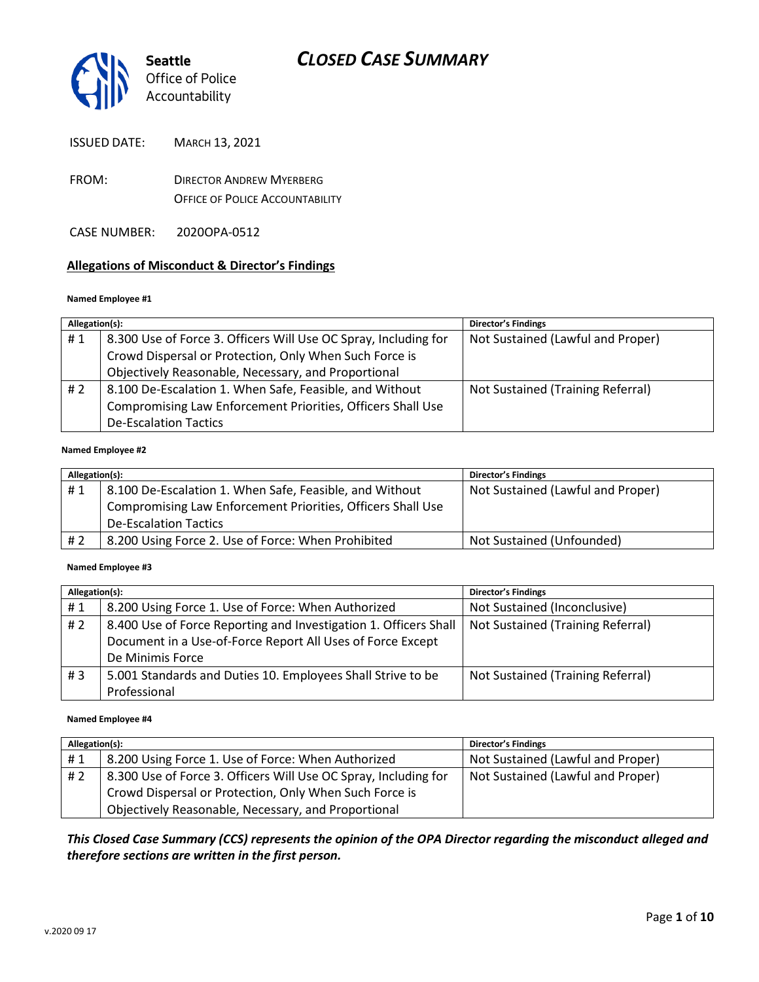

ISSUED DATE: MARCH 13, 2021

FROM: DIRECTOR ANDREW MYERBERG OFFICE OF POLICE ACCOUNTABILITY

CASE NUMBER: 2020OPA-0512

### **Allegations of Misconduct & Director's Findings**

### **Named Employee #1**

| Allegation(s): |                                                                 | <b>Director's Findings</b>        |
|----------------|-----------------------------------------------------------------|-----------------------------------|
| #1             | 8.300 Use of Force 3. Officers Will Use OC Spray, Including for | Not Sustained (Lawful and Proper) |
|                | Crowd Dispersal or Protection, Only When Such Force is          |                                   |
|                | Objectively Reasonable, Necessary, and Proportional             |                                   |
| #2             | 8.100 De-Escalation 1. When Safe, Feasible, and Without         | Not Sustained (Training Referral) |
|                | Compromising Law Enforcement Priorities, Officers Shall Use     |                                   |
|                | <b>De-Escalation Tactics</b>                                    |                                   |
|                |                                                                 |                                   |

#### **Named Employee #2**

| Allegation(s): |                                                             | <b>Director's Findings</b>        |
|----------------|-------------------------------------------------------------|-----------------------------------|
| #1             | 8.100 De-Escalation 1. When Safe, Feasible, and Without     | Not Sustained (Lawful and Proper) |
|                | Compromising Law Enforcement Priorities, Officers Shall Use |                                   |
|                | <b>De-Escalation Tactics</b>                                |                                   |
| # 2            | 8.200 Using Force 2. Use of Force: When Prohibited          | Not Sustained (Unfounded)         |

### **Named Employee #3**

| Allegation(s): |                                                                  | <b>Director's Findings</b>        |
|----------------|------------------------------------------------------------------|-----------------------------------|
| #1             | 8.200 Using Force 1. Use of Force: When Authorized               | Not Sustained (Inconclusive)      |
| #2             | 8.400 Use of Force Reporting and Investigation 1. Officers Shall | Not Sustained (Training Referral) |
|                | Document in a Use-of-Force Report All Uses of Force Except       |                                   |
|                | De Minimis Force                                                 |                                   |
| #3             | 5.001 Standards and Duties 10. Employees Shall Strive to be      | Not Sustained (Training Referral) |
|                | Professional                                                     |                                   |

#### **Named Employee #4**

| Allegation(s): |                                                                 | <b>Director's Findings</b>        |
|----------------|-----------------------------------------------------------------|-----------------------------------|
| #1             | 8.200 Using Force 1. Use of Force: When Authorized              | Not Sustained (Lawful and Proper) |
| #2             | 8.300 Use of Force 3. Officers Will Use OC Spray, Including for | Not Sustained (Lawful and Proper) |
|                | Crowd Dispersal or Protection, Only When Such Force is          |                                   |
|                | Objectively Reasonable, Necessary, and Proportional             |                                   |

*This Closed Case Summary (CCS) represents the opinion of the OPA Director regarding the misconduct alleged and therefore sections are written in the first person.*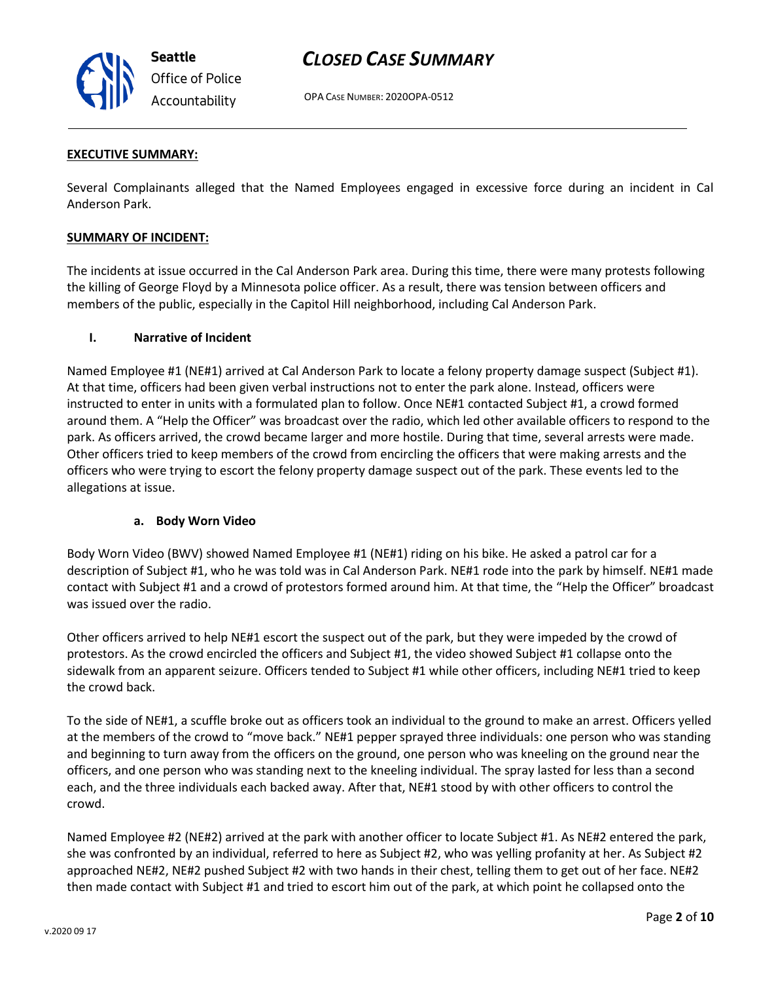

OPA CASE NUMBER: 2020OPA-0512

### **EXECUTIVE SUMMARY:**

Several Complainants alleged that the Named Employees engaged in excessive force during an incident in Cal Anderson Park.

### **SUMMARY OF INCIDENT:**

The incidents at issue occurred in the Cal Anderson Park area. During this time, there were many protests following the killing of George Floyd by a Minnesota police officer. As a result, there was tension between officers and members of the public, especially in the Capitol Hill neighborhood, including Cal Anderson Park.

### **I. Narrative of Incident**

Named Employee #1 (NE#1) arrived at Cal Anderson Park to locate a felony property damage suspect (Subject #1). At that time, officers had been given verbal instructions not to enter the park alone. Instead, officers were instructed to enter in units with a formulated plan to follow. Once NE#1 contacted Subject #1, a crowd formed around them. A "Help the Officer" was broadcast over the radio, which led other available officers to respond to the park. As officers arrived, the crowd became larger and more hostile. During that time, several arrests were made. Other officers tried to keep members of the crowd from encircling the officers that were making arrests and the officers who were trying to escort the felony property damage suspect out of the park. These events led to the allegations at issue.

### **a. Body Worn Video**

Body Worn Video (BWV) showed Named Employee #1 (NE#1) riding on his bike. He asked a patrol car for a description of Subject #1, who he was told was in Cal Anderson Park. NE#1 rode into the park by himself. NE#1 made contact with Subject #1 and a crowd of protestors formed around him. At that time, the "Help the Officer" broadcast was issued over the radio.

Other officers arrived to help NE#1 escort the suspect out of the park, but they were impeded by the crowd of protestors. As the crowd encircled the officers and Subject #1, the video showed Subject #1 collapse onto the sidewalk from an apparent seizure. Officers tended to Subject #1 while other officers, including NE#1 tried to keep the crowd back.

To the side of NE#1, a scuffle broke out as officers took an individual to the ground to make an arrest. Officers yelled at the members of the crowd to "move back." NE#1 pepper sprayed three individuals: one person who was standing and beginning to turn away from the officers on the ground, one person who was kneeling on the ground near the officers, and one person who was standing next to the kneeling individual. The spray lasted for less than a second each, and the three individuals each backed away. After that, NE#1 stood by with other officers to control the crowd.

Named Employee #2 (NE#2) arrived at the park with another officer to locate Subject #1. As NE#2 entered the park, she was confronted by an individual, referred to here as Subject #2, who was yelling profanity at her. As Subject #2 approached NE#2, NE#2 pushed Subject #2 with two hands in their chest, telling them to get out of her face. NE#2 then made contact with Subject #1 and tried to escort him out of the park, at which point he collapsed onto the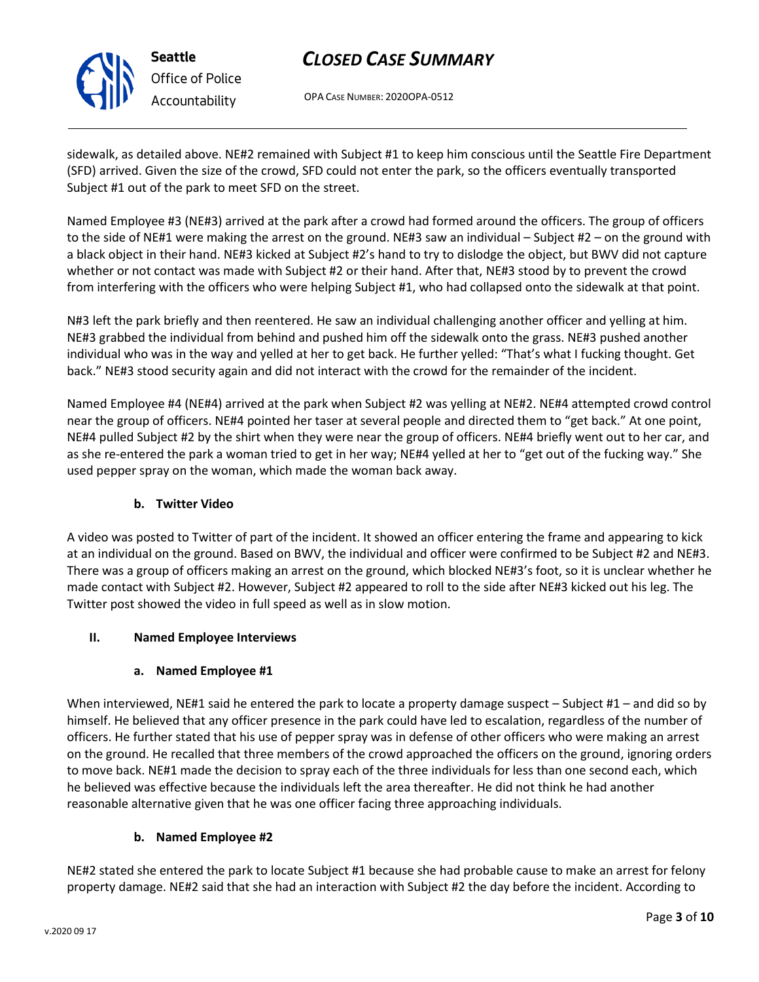

OPA CASE NUMBER: 2020OPA-0512

sidewalk, as detailed above. NE#2 remained with Subject #1 to keep him conscious until the Seattle Fire Department (SFD) arrived. Given the size of the crowd, SFD could not enter the park, so the officers eventually transported Subject #1 out of the park to meet SFD on the street.

Named Employee #3 (NE#3) arrived at the park after a crowd had formed around the officers. The group of officers to the side of NE#1 were making the arrest on the ground. NE#3 saw an individual – Subject #2 – on the ground with a black object in their hand. NE#3 kicked at Subject #2's hand to try to dislodge the object, but BWV did not capture whether or not contact was made with Subject #2 or their hand. After that, NE#3 stood by to prevent the crowd from interfering with the officers who were helping Subject #1, who had collapsed onto the sidewalk at that point.

N#3 left the park briefly and then reentered. He saw an individual challenging another officer and yelling at him. NE#3 grabbed the individual from behind and pushed him off the sidewalk onto the grass. NE#3 pushed another individual who was in the way and yelled at her to get back. He further yelled: "That's what I fucking thought. Get back." NE#3 stood security again and did not interact with the crowd for the remainder of the incident.

Named Employee #4 (NE#4) arrived at the park when Subject #2 was yelling at NE#2. NE#4 attempted crowd control near the group of officers. NE#4 pointed her taser at several people and directed them to "get back." At one point, NE#4 pulled Subject #2 by the shirt when they were near the group of officers. NE#4 briefly went out to her car, and as she re-entered the park a woman tried to get in her way; NE#4 yelled at her to "get out of the fucking way." She used pepper spray on the woman, which made the woman back away.

### **b. Twitter Video**

A video was posted to Twitter of part of the incident. It showed an officer entering the frame and appearing to kick at an individual on the ground. Based on BWV, the individual and officer were confirmed to be Subject #2 and NE#3. There was a group of officers making an arrest on the ground, which blocked NE#3's foot, so it is unclear whether he made contact with Subject #2. However, Subject #2 appeared to roll to the side after NE#3 kicked out his leg. The Twitter post showed the video in full speed as well as in slow motion.

### **II. Named Employee Interviews**

### **a. Named Employee #1**

When interviewed, NE#1 said he entered the park to locate a property damage suspect – Subject #1 – and did so by himself. He believed that any officer presence in the park could have led to escalation, regardless of the number of officers. He further stated that his use of pepper spray was in defense of other officers who were making an arrest on the ground. He recalled that three members of the crowd approached the officers on the ground, ignoring orders to move back. NE#1 made the decision to spray each of the three individuals for less than one second each, which he believed was effective because the individuals left the area thereafter. He did not think he had another reasonable alternative given that he was one officer facing three approaching individuals.

### **b. Named Employee #2**

NE#2 stated she entered the park to locate Subject #1 because she had probable cause to make an arrest for felony property damage. NE#2 said that she had an interaction with Subject #2 the day before the incident. According to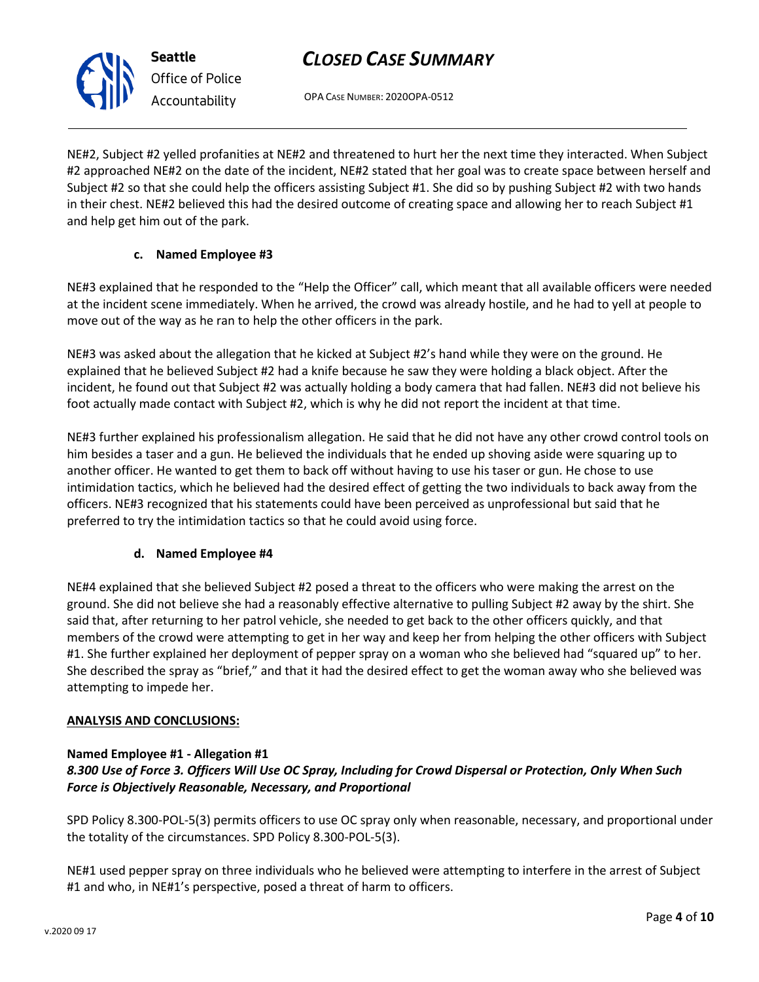OPA CASE NUMBER: 2020OPA-0512

NE#2, Subject #2 yelled profanities at NE#2 and threatened to hurt her the next time they interacted. When Subject #2 approached NE#2 on the date of the incident, NE#2 stated that her goal was to create space between herself and Subject #2 so that she could help the officers assisting Subject #1. She did so by pushing Subject #2 with two hands in their chest. NE#2 believed this had the desired outcome of creating space and allowing her to reach Subject #1 and help get him out of the park.

### **c. Named Employee #3**

NE#3 explained that he responded to the "Help the Officer" call, which meant that all available officers were needed at the incident scene immediately. When he arrived, the crowd was already hostile, and he had to yell at people to move out of the way as he ran to help the other officers in the park.

NE#3 was asked about the allegation that he kicked at Subject #2's hand while they were on the ground. He explained that he believed Subject #2 had a knife because he saw they were holding a black object. After the incident, he found out that Subject #2 was actually holding a body camera that had fallen. NE#3 did not believe his foot actually made contact with Subject #2, which is why he did not report the incident at that time.

NE#3 further explained his professionalism allegation. He said that he did not have any other crowd control tools on him besides a taser and a gun. He believed the individuals that he ended up shoving aside were squaring up to another officer. He wanted to get them to back off without having to use his taser or gun. He chose to use intimidation tactics, which he believed had the desired effect of getting the two individuals to back away from the officers. NE#3 recognized that his statements could have been perceived as unprofessional but said that he preferred to try the intimidation tactics so that he could avoid using force.

### **d. Named Employee #4**

NE#4 explained that she believed Subject #2 posed a threat to the officers who were making the arrest on the ground. She did not believe she had a reasonably effective alternative to pulling Subject #2 away by the shirt. She said that, after returning to her patrol vehicle, she needed to get back to the other officers quickly, and that members of the crowd were attempting to get in her way and keep her from helping the other officers with Subject #1. She further explained her deployment of pepper spray on a woman who she believed had "squared up" to her. She described the spray as "brief," and that it had the desired effect to get the woman away who she believed was attempting to impede her.

### **ANALYSIS AND CONCLUSIONS:**

### **Named Employee #1 - Allegation #1**

### *8.300 Use of Force 3. Officers Will Use OC Spray, Including for Crowd Dispersal or Protection, Only When Such Force is Objectively Reasonable, Necessary, and Proportional*

SPD Policy 8.300-POL-5(3) permits officers to use OC spray only when reasonable, necessary, and proportional under the totality of the circumstances. SPD Policy 8.300-POL-5(3).

NE#1 used pepper spray on three individuals who he believed were attempting to interfere in the arrest of Subject #1 and who, in NE#1's perspective, posed a threat of harm to officers.



**Seattle** *Office of Police Accountability*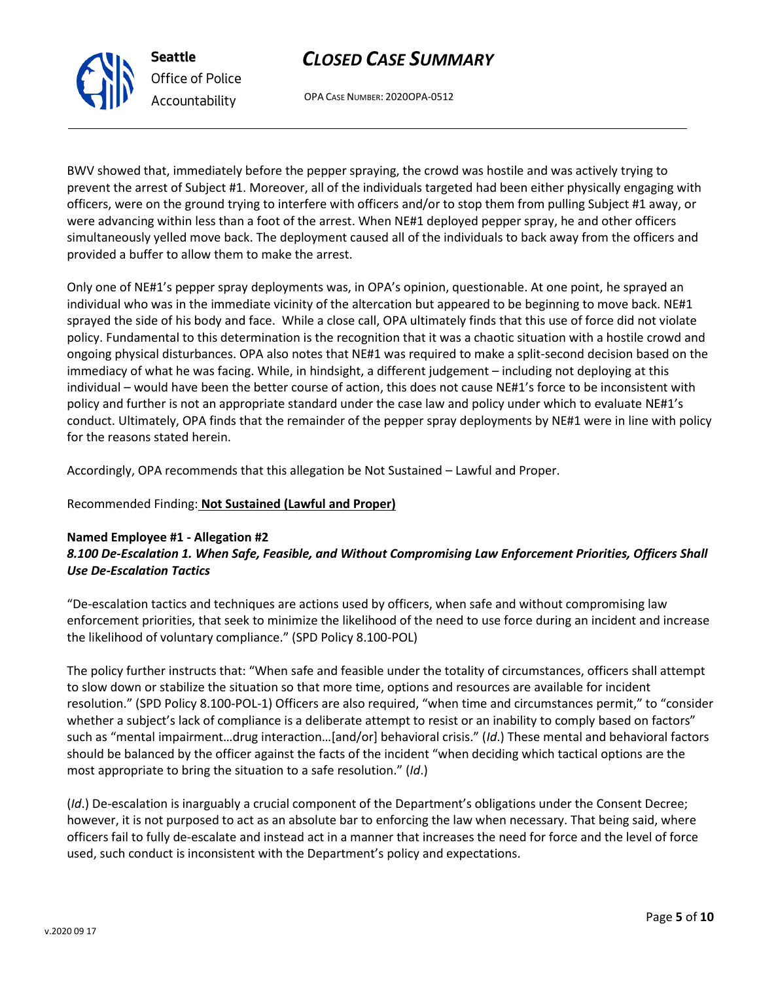### enforcement priorities, that seek to minimize the likelihood of the need to use force during an incident and increase the likelihood of voluntary compliance." (SPD Policy 8.100-POL)

### The policy further instructs that: "When safe and feasible under the totality of circumstances, officers shall attempt to slow down or stabilize the situation so that more time, options and resources are available for incident resolution." (SPD Policy 8.100-POL-1) Officers are also required, "when time and circumstances permit," to "consider whether a subject's lack of compliance is a deliberate attempt to resist or an inability to comply based on factors" such as "mental impairment…drug interaction…[and/or] behavioral crisis." (*Id*.) These mental and behavioral factors should be balanced by the officer against the facts of the incident "when deciding which tactical options are the most appropriate to bring the situation to a safe resolution." (*Id*.)

*8.100 De-Escalation 1. When Safe, Feasible, and Without Compromising Law Enforcement Priorities, Officers Shall* 

"De-escalation tactics and techniques are actions used by officers, when safe and without compromising law

(*Id*.) De-escalation is inarguably a crucial component of the Department's obligations under the Consent Decree; however, it is not purposed to act as an absolute bar to enforcing the law when necessary. That being said, where officers fail to fully de-escalate and instead act in a manner that increases the need for force and the level of force used, such conduct is inconsistent with the Department's policy and expectations.

BWV showed that, immediately before the pepper spraying, the crowd was hostile and was actively trying to prevent the arrest of Subject #1. Moreover, all of the individuals targeted had been either physically engaging with

officers, were on the ground trying to interfere with officers and/or to stop them from pulling Subject #1 away, or were advancing within less than a foot of the arrest. When NE#1 deployed pepper spray, he and other officers simultaneously yelled move back. The deployment caused all of the individuals to back away from the officers and provided a buffer to allow them to make the arrest.

Only one of NE#1's pepper spray deployments was, in OPA's opinion, questionable. At one point, he sprayed an individual who was in the immediate vicinity of the altercation but appeared to be beginning to move back. NE#1 sprayed the side of his body and face. While a close call, OPA ultimately finds that this use of force did not violate policy. Fundamental to this determination is the recognition that it was a chaotic situation with a hostile crowd and ongoing physical disturbances. OPA also notes that NE#1 was required to make a split-second decision based on the immediacy of what he was facing. While, in hindsight, a different judgement – including not deploying at this individual – would have been the better course of action, this does not cause NE#1's force to be inconsistent with policy and further is not an appropriate standard under the case law and policy under which to evaluate NE#1's conduct. Ultimately, OPA finds that the remainder of the pepper spray deployments by NE#1 were in line with policy

for the reasons stated herein.

**Named Employee #1 - Allegation #2**

*Use De-Escalation Tactics*

**Seattle**

*Office of Police Accountability*

Accordingly, OPA recommends that this allegation be Not Sustained – Lawful and Proper.

### Recommended Finding: **Not Sustained (Lawful and Proper)**

# *CLOSED CASE SUMMARY*

OPA CASE NUMBER: 2020OPA-0512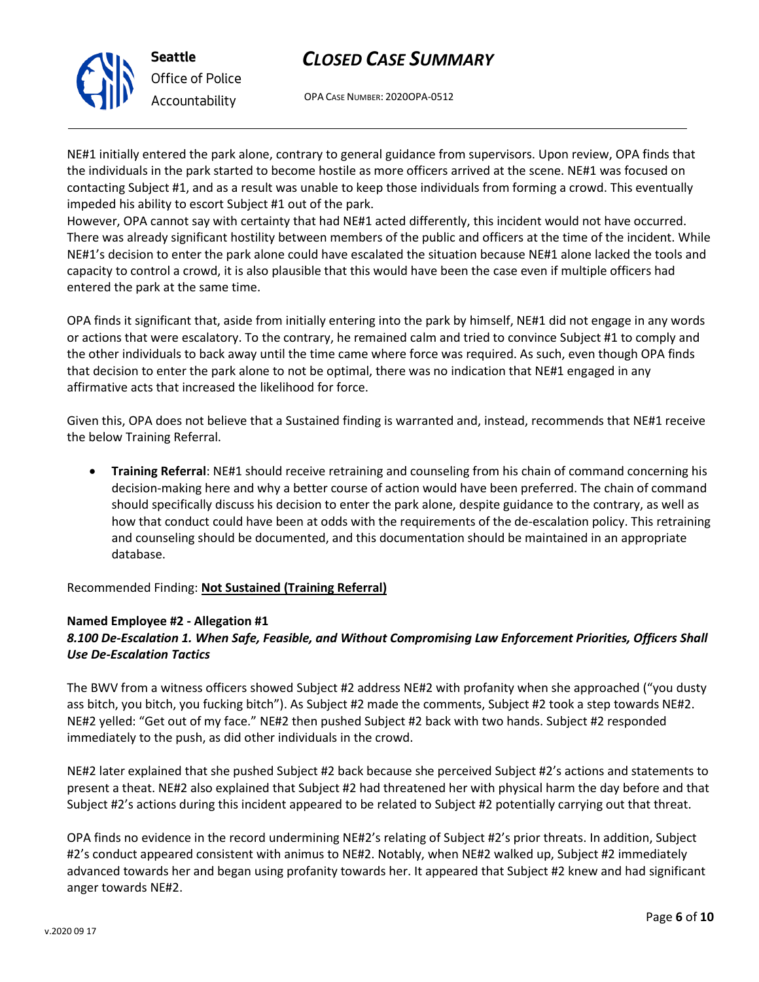

OPA CASE NUMBER: 2020OPA-0512

NE#1 initially entered the park alone, contrary to general guidance from supervisors. Upon review, OPA finds that the individuals in the park started to become hostile as more officers arrived at the scene. NE#1 was focused on contacting Subject #1, and as a result was unable to keep those individuals from forming a crowd. This eventually impeded his ability to escort Subject #1 out of the park.

However, OPA cannot say with certainty that had NE#1 acted differently, this incident would not have occurred. There was already significant hostility between members of the public and officers at the time of the incident. While NE#1's decision to enter the park alone could have escalated the situation because NE#1 alone lacked the tools and capacity to control a crowd, it is also plausible that this would have been the case even if multiple officers had entered the park at the same time.

OPA finds it significant that, aside from initially entering into the park by himself, NE#1 did not engage in any words or actions that were escalatory. To the contrary, he remained calm and tried to convince Subject #1 to comply and the other individuals to back away until the time came where force was required. As such, even though OPA finds that decision to enter the park alone to not be optimal, there was no indication that NE#1 engaged in any affirmative acts that increased the likelihood for force.

Given this, OPA does not believe that a Sustained finding is warranted and, instead, recommends that NE#1 receive the below Training Referral.

• **Training Referral**: NE#1 should receive retraining and counseling from his chain of command concerning his decision-making here and why a better course of action would have been preferred. The chain of command should specifically discuss his decision to enter the park alone, despite guidance to the contrary, as well as how that conduct could have been at odds with the requirements of the de-escalation policy. This retraining and counseling should be documented, and this documentation should be maintained in an appropriate database.

Recommended Finding: **Not Sustained (Training Referral)**

## **Named Employee #2 - Allegation #1**

### *8.100 De-Escalation 1. When Safe, Feasible, and Without Compromising Law Enforcement Priorities, Officers Shall Use De-Escalation Tactics*

The BWV from a witness officers showed Subject #2 address NE#2 with profanity when she approached ("you dusty ass bitch, you bitch, you fucking bitch"). As Subject #2 made the comments, Subject #2 took a step towards NE#2. NE#2 yelled: "Get out of my face." NE#2 then pushed Subject #2 back with two hands. Subject #2 responded immediately to the push, as did other individuals in the crowd.

NE#2 later explained that she pushed Subject #2 back because she perceived Subject #2's actions and statements to present a theat. NE#2 also explained that Subject #2 had threatened her with physical harm the day before and that Subject #2's actions during this incident appeared to be related to Subject #2 potentially carrying out that threat.

OPA finds no evidence in the record undermining NE#2's relating of Subject #2's prior threats. In addition, Subject #2's conduct appeared consistent with animus to NE#2. Notably, when NE#2 walked up, Subject #2 immediately advanced towards her and began using profanity towards her. It appeared that Subject #2 knew and had significant anger towards NE#2.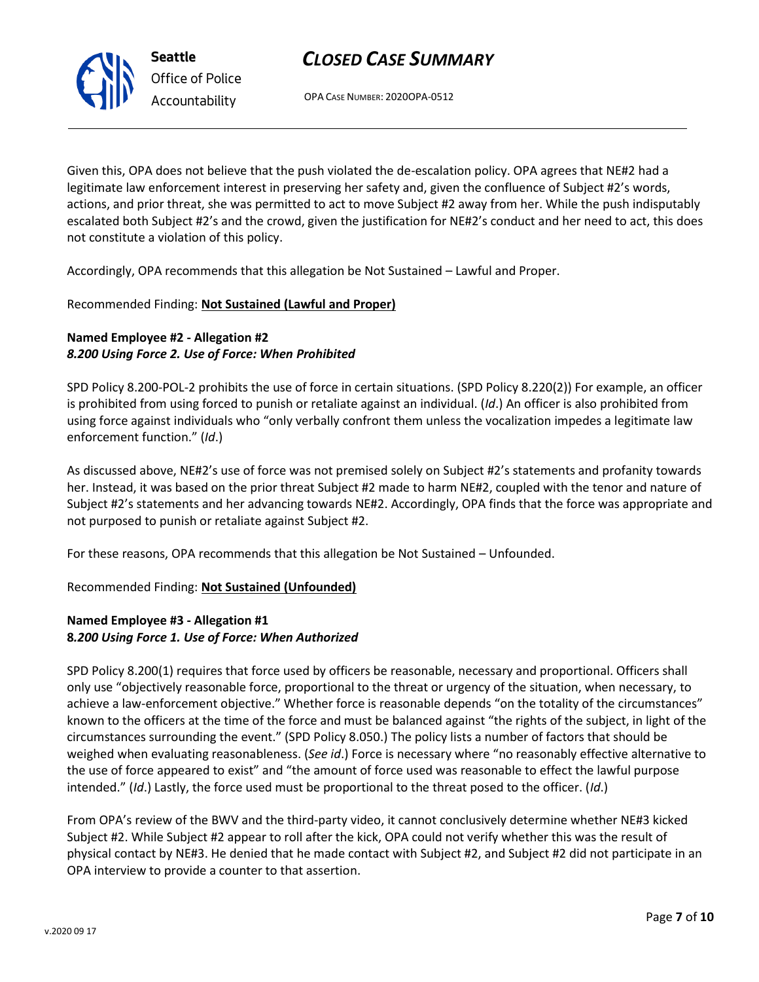OPA CASE NUMBER: 2020OPA-0512

Given this, OPA does not believe that the push violated the de-escalation policy. OPA agrees that NE#2 had a legitimate law enforcement interest in preserving her safety and, given the confluence of Subject #2's words, actions, and prior threat, she was permitted to act to move Subject #2 away from her. While the push indisputably escalated both Subject #2's and the crowd, given the justification for NE#2's conduct and her need to act, this does not constitute a violation of this policy.

Accordingly, OPA recommends that this allegation be Not Sustained – Lawful and Proper.

## Recommended Finding: **Not Sustained (Lawful and Proper)**

## **Named Employee #2 - Allegation #2** *8.200 Using Force 2. Use of Force: When Prohibited*

SPD Policy 8.200-POL-2 prohibits the use of force in certain situations. (SPD Policy 8.220(2)) For example, an officer is prohibited from using forced to punish or retaliate against an individual. (*Id*.) An officer is also prohibited from using force against individuals who "only verbally confront them unless the vocalization impedes a legitimate law enforcement function." (*Id*.)

As discussed above, NE#2's use of force was not premised solely on Subject #2's statements and profanity towards her. Instead, it was based on the prior threat Subject #2 made to harm NE#2, coupled with the tenor and nature of Subject #2's statements and her advancing towards NE#2. Accordingly, OPA finds that the force was appropriate and not purposed to punish or retaliate against Subject #2.

For these reasons, OPA recommends that this allegation be Not Sustained – Unfounded.

## Recommended Finding: **Not Sustained (Unfounded)**

## **Named Employee #3 - Allegation #1 8***.200 Using Force 1. Use of Force: When Authorized*

SPD Policy 8.200(1) requires that force used by officers be reasonable, necessary and proportional. Officers shall only use "objectively reasonable force, proportional to the threat or urgency of the situation, when necessary, to achieve a law-enforcement objective." Whether force is reasonable depends "on the totality of the circumstances" known to the officers at the time of the force and must be balanced against "the rights of the subject, in light of the circumstances surrounding the event." (SPD Policy 8.050.) The policy lists a number of factors that should be weighed when evaluating reasonableness. (*See id*.) Force is necessary where "no reasonably effective alternative to the use of force appeared to exist" and "the amount of force used was reasonable to effect the lawful purpose intended." (*Id*.) Lastly, the force used must be proportional to the threat posed to the officer. (*Id*.)

From OPA's review of the BWV and the third-party video, it cannot conclusively determine whether NE#3 kicked Subject #2. While Subject #2 appear to roll after the kick, OPA could not verify whether this was the result of physical contact by NE#3. He denied that he made contact with Subject #2, and Subject #2 did not participate in an OPA interview to provide a counter to that assertion.



**Seattle** *Office of Police Accountability*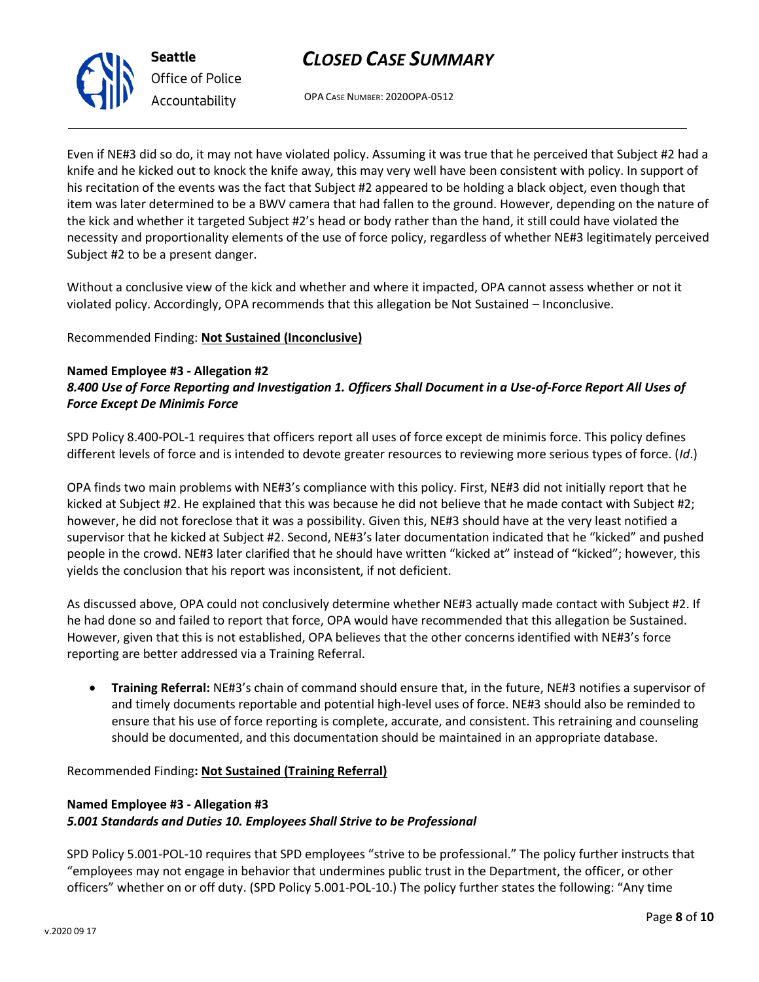OPA CASE NUMBER: 2020OPA-0512

Even if NE#3 did so do, it may not have violated policy. Assuming it was true that he perceived that Subject #2 had a knife and he kicked out to knock the knife away, this may very well have been consistent with policy. In support of his recitation of the events was the fact that Subject #2 appeared to be holding a black object, even though that item was later determined to be a BWV camera that had fallen to the ground. However, depending on the nature of the kick and whether it targeted Subject #2's head or body rather than the hand, it still could have violated the necessity and proportionality elements of the use of force policy, regardless of whether NE#3 legitimately perceived Subject #2 to be a present danger.

Without a conclusive view of the kick and whether and where it impacted, OPA cannot assess whether or not it violated policy. Accordingly, OPA recommends that this allegation be Not Sustained – Inconclusive.

### Recommended Finding: **Not Sustained (Inconclusive)**

### **Named Employee #3 - Allegation #2** *8.400 Use of Force Reporting and Investigation 1. Officers Shall Document in a Use-of-Force Report All Uses of Force Except De Minimis Force*

SPD Policy 8.400-POL-1 requires that officers report all uses of force except de minimis force. This policy defines different levels of force and is intended to devote greater resources to reviewing more serious types of force. (*Id*.)

OPA finds two main problems with NE#3's compliance with this policy. First, NE#3 did not initially report that he kicked at Subject #2. He explained that this was because he did not believe that he made contact with Subject #2; however, he did not foreclose that it was a possibility. Given this, NE#3 should have at the very least notified a supervisor that he kicked at Subject #2. Second, NE#3's later documentation indicated that he "kicked" and pushed people in the crowd. NE#3 later clarified that he should have written "kicked at" instead of "kicked"; however, this yields the conclusion that his report was inconsistent, if not deficient.

As discussed above, OPA could not conclusively determine whether NE#3 actually made contact with Subject #2. If he had done so and failed to report that force, OPA would have recommended that this allegation be Sustained. However, given that this is not established, OPA believes that the other concerns identified with NE#3's force reporting are better addressed via a Training Referral.

• **Training Referral:** NE#3's chain of command should ensure that, in the future, NE#3 notifies a supervisor of and timely documents reportable and potential high-level uses of force. NE#3 should also be reminded to ensure that his use of force reporting is complete, accurate, and consistent. This retraining and counseling should be documented, and this documentation should be maintained in an appropriate database.

Recommended Finding**: Not Sustained (Training Referral)**

## **Named Employee #3 - Allegation #3** *5.001 Standards and Duties 10. Employees Shall Strive to be Professional*

SPD Policy 5.001-POL-10 requires that SPD employees "strive to be professional." The policy further instructs that "employees may not engage in behavior that undermines public trust in the Department, the officer, or other officers" whether on or off duty. (SPD Policy 5.001-POL-10.) The policy further states the following: "Any time



**Seattle** *Office of Police Accountability*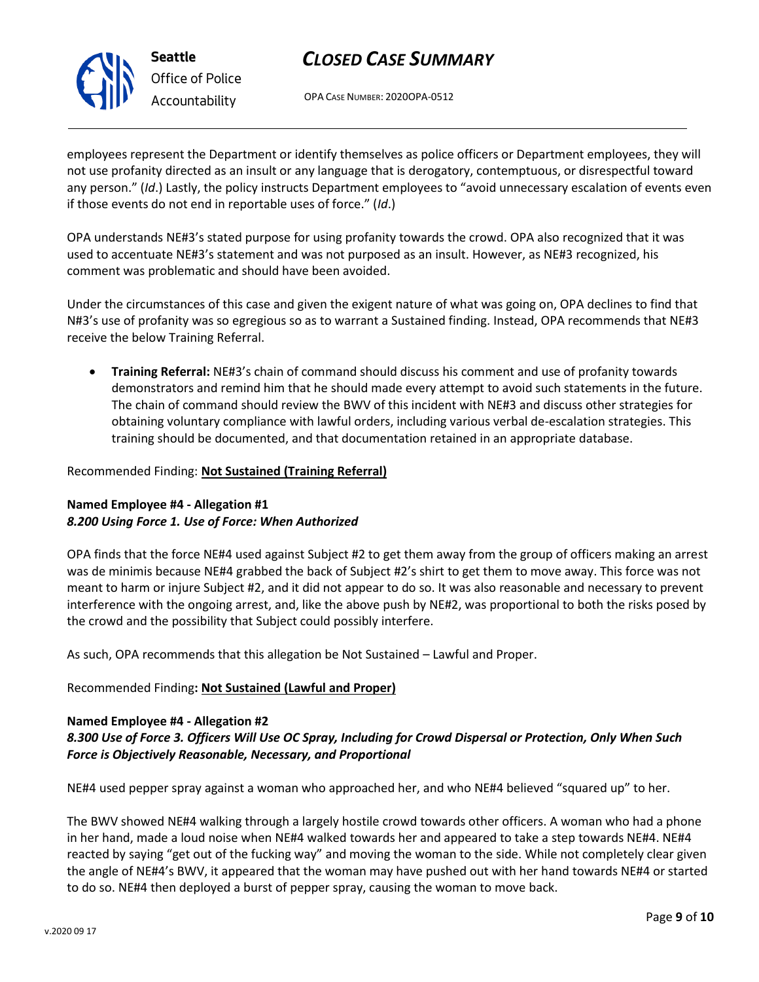

OPA CASE NUMBER: 2020OPA-0512

employees represent the Department or identify themselves as police officers or Department employees, they will not use profanity directed as an insult or any language that is derogatory, contemptuous, or disrespectful toward any person." (*Id*.) Lastly, the policy instructs Department employees to "avoid unnecessary escalation of events even if those events do not end in reportable uses of force." (*Id*.)

OPA understands NE#3's stated purpose for using profanity towards the crowd. OPA also recognized that it was used to accentuate NE#3's statement and was not purposed as an insult. However, as NE#3 recognized, his comment was problematic and should have been avoided.

Under the circumstances of this case and given the exigent nature of what was going on, OPA declines to find that N#3's use of profanity was so egregious so as to warrant a Sustained finding. Instead, OPA recommends that NE#3 receive the below Training Referral.

• **Training Referral:** NE#3's chain of command should discuss his comment and use of profanity towards demonstrators and remind him that he should made every attempt to avoid such statements in the future. The chain of command should review the BWV of this incident with NE#3 and discuss other strategies for obtaining voluntary compliance with lawful orders, including various verbal de-escalation strategies. This training should be documented, and that documentation retained in an appropriate database.

### Recommended Finding: **Not Sustained (Training Referral)**

### **Named Employee #4 - Allegation #1** *8.200 Using Force 1. Use of Force: When Authorized*

OPA finds that the force NE#4 used against Subject #2 to get them away from the group of officers making an arrest was de minimis because NE#4 grabbed the back of Subject #2's shirt to get them to move away. This force was not meant to harm or injure Subject #2, and it did not appear to do so. It was also reasonable and necessary to prevent interference with the ongoing arrest, and, like the above push by NE#2, was proportional to both the risks posed by the crowd and the possibility that Subject could possibly interfere.

As such, OPA recommends that this allegation be Not Sustained – Lawful and Proper.

### Recommended Finding**: Not Sustained (Lawful and Proper)**

### **Named Employee #4 - Allegation #2**

### *8.300 Use of Force 3. Officers Will Use OC Spray, Including for Crowd Dispersal or Protection, Only When Such Force is Objectively Reasonable, Necessary, and Proportional*

NE#4 used pepper spray against a woman who approached her, and who NE#4 believed "squared up" to her.

The BWV showed NE#4 walking through a largely hostile crowd towards other officers. A woman who had a phone in her hand, made a loud noise when NE#4 walked towards her and appeared to take a step towards NE#4. NE#4 reacted by saying "get out of the fucking way" and moving the woman to the side. While not completely clear given the angle of NE#4's BWV, it appeared that the woman may have pushed out with her hand towards NE#4 or started to do so. NE#4 then deployed a burst of pepper spray, causing the woman to move back.